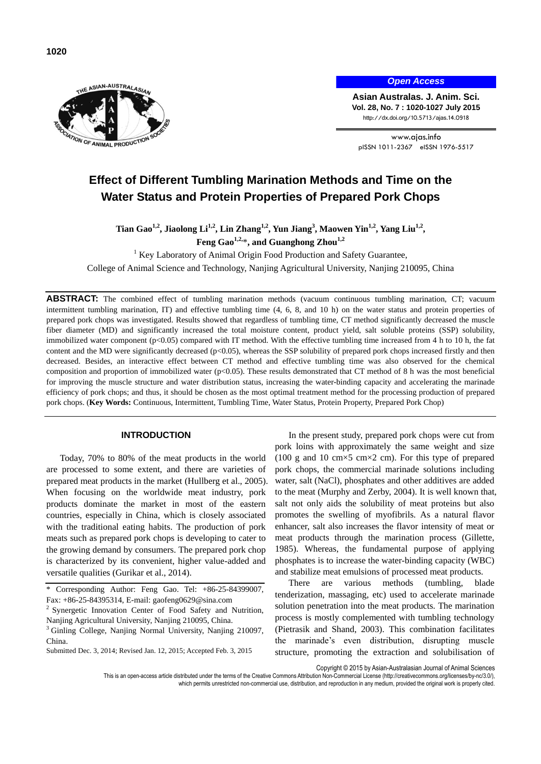

*Open Access*

**Asian Australas. J. Anim. Sci. Vol. 28, No. 7 : 1020-1027 July 2015** http://dx.doi.org/10.5713/ajas.14.0918

www.ajas.info pISSN 1011-2367 eISSN 1976-5517

# **Effect of Different Tumbling Marination Methods and Time on the Water Status and Protein Properties of Prepared Pork Chops**

**Tian Gao1,2, Jiaolong Li1,2, Lin Zhang1,2, Yun Jiang<sup>3</sup> , Maowen Yin1,2, Yang Liu1,2 , Feng Gao1,2,** \***, and Guanghong Zhou1,2**

<sup>1</sup> Key Laboratory of Animal Origin Food Production and Safety Guarantee,

College of Animal Science and Technology, Nanjing Agricultural University, Nanjing 210095, China

**ABSTRACT:** The combined effect of tumbling marination methods (vacuum continuous tumbling marination, CT; vacuum intermittent tumbling marination, IT) and effective tumbling time (4, 6, 8, and 10 h) on the water status and protein properties of prepared pork chops was investigated. Results showed that regardless of tumbling time, CT method significantly decreased the muscle fiber diameter (MD) and significantly increased the total moisture content, product yield, salt soluble proteins (SSP) solubility, immobilized water component (p<0.05) compared with IT method. With the effective tumbling time increased from 4 h to 10 h, the fat content and the MD were significantly decreased (p<0.05), whereas the SSP solubility of prepared pork chops increased firstly and then decreased. Besides, an interactive effect between CT method and effective tumbling time was also observed for the chemical composition and proportion of immobilized water ( $p<0.05$ ). These results demonstrated that CT method of 8 h was the most beneficial for improving the muscle structure and water distribution status, increasing the water-binding capacity and accelerating the marinade efficiency of pork chops; and thus, it should be chosen as the most optimal treatment method for the processing production of prepared pork chops. (**Key Words:** Continuous, Intermittent, Tumbling Time, Water Status, Protein Property, Prepared Pork Chop)

# **INTRODUCTION**

Today, 70% to 80% of the meat products in the world are processed to some extent, and there are varieties of prepared meat products in the market (Hullberg et al., 2005). When focusing on the worldwide meat industry, pork products dominate the market in most of the eastern countries, especially in China, which is closely associated with the traditional eating habits. The production of pork meats such as prepared pork chops is developing to cater to the growing demand by consumers. The prepared pork chop is characterized by its convenient, higher value-added and versatile qualities (Gurikar et al., 2014).

In the present study, prepared pork chops were cut from pork loins with approximately the same weight and size (100 g and 10 cm $\times$ 5 cm $\times$ 2 cm). For this type of prepared pork chops, the commercial marinade solutions including water, salt (NaCl), phosphates and other additives are added to the meat (Murphy and Zerby, 2004). It is well known that, salt not only aids the solubility of meat proteins but also promotes the swelling of myofibrils. As a natural flavor enhancer, salt also increases the flavor intensity of meat or meat products through the marination process (Gillette, 1985). Whereas, the fundamental purpose of applying phosphates is to increase the water-binding capacity (WBC) and stabilize meat emulsions of processed meat products.

There are various methods (tumbling, blade tenderization, massaging, etc) used to accelerate marinade solution penetration into the meat products. The marination process is mostly complemented with tumbling technology (Pietrasik and Shand, 2003). This combination facilitates the marinade's even distribution, disrupting muscle structure, promoting the extraction and solubilisation of

Copyright © 2015 by Asian-Australasian Journal of Animal Sciences

This is an open-access article distributed under the terms of the Creative Commons Attribution Non-Commercial License [\(http://creativecommons.org/licenses/by-nc/3.0/\),](http://creativecommons.org/licenses/by-nc/3.0/) which permits unrestricted non-commercial use, distribution, and reproduction in any medium, provided the original work is properly cited.

Corresponding Author: Feng Gao. Tel: +86-25-84399007, Fax: +86-25-84395314, E-mail: [gaofeng0629@sina.com](mailto:gaofeng0629@sina.com)

<sup>&</sup>lt;sup>2</sup> Synergetic Innovation Center of Food Safety and Nutrition, Nanjing Agricultural University, Nanjing 210095, China.

<sup>&</sup>lt;sup>3</sup> Ginling College, Nanjing Normal University, Nanjing 210097, China.

Submitted Dec. 3, 2014; Revised Jan. 12, 2015; Accepted Feb. 3, 2015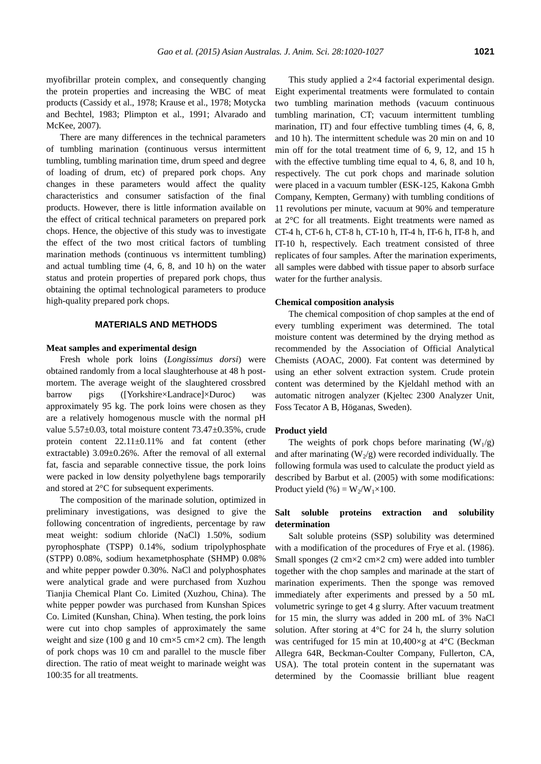myofibrillar protein complex, and consequently changing the protein properties and increasing the WBC of meat products (Cassidy et al., 1978; Krause et al., 1978; Motycka and Bechtel, 1983; Plimpton et al., 1991; Alvarado and McKee, 2007).

There are many differences in the technical parameters of tumbling marination (continuous versus intermittent tumbling, tumbling marination time, drum speed and degree of loading of drum, etc) of prepared pork chops. Any changes in these parameters would affect the quality characteristics and consumer satisfaction of the final products. However, there is little information available on the effect of critical technical parameters on prepared pork chops. Hence, the objective of this study was to investigate the effect of the two most critical factors of tumbling marination methods (continuous vs intermittent tumbling) and actual tumbling time (4, 6, 8, and 10 h) on the water status and protein properties of prepared pork chops, thus obtaining the optimal technological parameters to produce high-quality prepared pork chops.

# **MATERIALS AND METHODS**

## **Meat samples and experimental design**

Fresh whole pork loins (*Longissimus dorsi*) were obtained randomly from a local slaughterhouse at 48 h postmortem. The average weight of the slaughtered crossbred barrow pigs ([Yorkshire×Landrace]×Duroc) was approximately 95 kg. The pork loins were chosen as they are a relatively homogenous muscle with the normal pH value 5.57±0.03, total moisture content 73.47±0.35%, crude protein content 22.11±0.11% and fat content (ether extractable) 3.09±0.26%. After the removal of all external fat, fascia and separable connective tissue, the pork loins were packed in low density polyethylene bags temporarily and stored at 2°C for subsequent experiments.

The composition of the marinade solution, optimized in preliminary investigations, was designed to give the following concentration of ingredients, percentage by raw meat weight: sodium chloride (NaCl) 1.50%, sodium pyrophosphate (TSPP) 0.14%, sodium tripolyphosphate (STPP) 0.08%, sodium hexametphosphate (SHMP) 0.08% and white pepper powder 0.30%. NaCl and polyphosphates were analytical grade and were purchased from Xuzhou Tianjia Chemical Plant Co. Limited (Xuzhou, China). The white pepper powder was purchased from Kunshan Spices Co. Limited (Kunshan, China). When testing, the pork loins were cut into chop samples of approximately the same weight and size (100 g and 10 cm $\times$ 5 cm $\times$ 2 cm). The length of pork chops was 10 cm and parallel to the muscle fiber direction. The ratio of meat weight to marinade weight was 100:35 for all treatments.

This study applied a 2×4 factorial experimental design. Eight experimental treatments were formulated to contain two tumbling marination methods (vacuum continuous tumbling marination, CT; vacuum intermittent tumbling marination, IT) and four effective tumbling times (4, 6, 8, and 10 h). The intermittent schedule was 20 min on and 10 min off for the total treatment time of 6, 9, 12, and 15 h with the effective tumbling time equal to 4, 6, 8, and 10 h, respectively. The cut pork chops and marinade solution were placed in a vacuum tumbler (ESK-125, Kakona Gmbh Company, Kempten, Germany) with tumbling conditions of 11 revolutions per minute, vacuum at 90% and temperature at 2°C for all treatments. Eight treatments were named as CT-4 h, CT-6 h, CT-8 h, CT-10 h, IT-4 h, IT-6 h, IT-8 h, and IT-10 h, respectively. Each treatment consisted of three replicates of four samples. After the marination experiments, all samples were dabbed with tissue paper to absorb surface water for the further analysis.

#### **Chemical composition analysis**

The chemical composition of chop samples at the end of every tumbling experiment was determined. The total moisture content was determined by the drying method as recommended by the Association of Official Analytical Chemists (AOAC, 2000). Fat content was determined by using an ether solvent extraction system. Crude protein content was determined by the Kjeldahl method with an automatic nitrogen analyzer (Kjeltec 2300 Analyzer Unit, Foss Tecator A B, Höganas, Sweden).

#### **Product yield**

The weights of pork chops before marinating  $(W_1/g)$ and after marinating  $(W_2/g)$  were recorded individually. The following formula was used to calculate the product yield as described by Barbut et al. (2005) with some modifications: Product yield  $(\%) = W_2/W_1 \times 100$ .

# **Salt soluble proteins extraction and solubility determination**

Salt soluble proteins (SSP) solubility was determined with a modification of the procedures of Frye et al. (1986). Small sponges (2 cm×2 cm×2 cm) were added into tumbler together with the chop samples and marinade at the start of marination experiments. Then the sponge was removed immediately after experiments and pressed by a 50 mL volumetric syringe to get 4 g slurry. After vacuum treatment for 15 min, the slurry was added in 200 mL of 3% NaCl solution. After storing at 4°C for 24 h, the slurry solution was centrifuged for 15 min at 10,400×g at 4°C (Beckman Allegra 64R, Beckman-Coulter Company, Fullerton, CA, USA). The total protein content in the supernatant was determined by the Coomassie brilliant blue reagent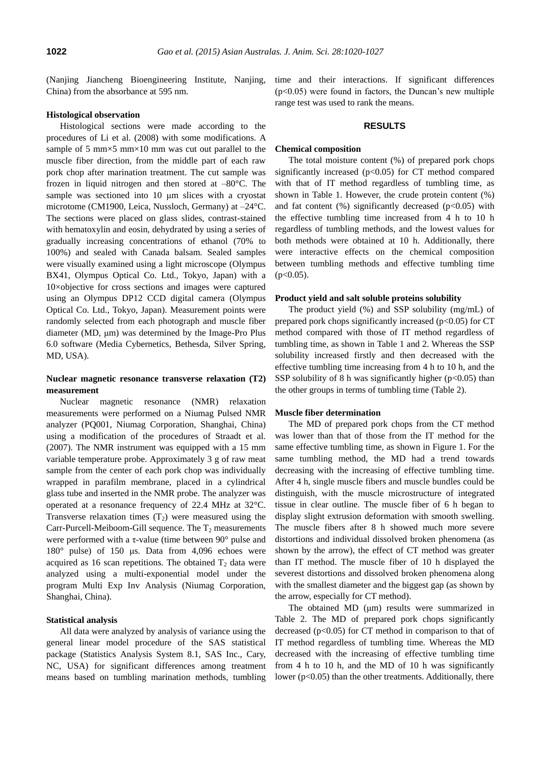(Nanjing Jiancheng Bioengineering Institute, Nanjing, China) from the absorbance at 595 nm.

# **Histological observation**

Histological sections were made according to the procedures of Li et al. (2008) with some modifications. A sample of 5 mm $\times$ 5 mm $\times$ 10 mm was cut out parallel to the muscle fiber direction, from the middle part of each raw pork chop after marination treatment. The cut sample was frozen in liquid nitrogen and then stored at  $-80^{\circ}$ C. The sample was sectioned into 10 μm slices with a cryostat microtome (CM1900, Leica, Nussloch, Germany) at  $-24^{\circ}$ C. The sections were placed on glass slides, contrast-stained with hematoxylin and eosin, dehydrated by using a series of gradually increasing concentrations of ethanol (70% to 100%) and sealed with Canada balsam. Sealed samples were visually examined using a light microscope (Olympus BX41, Olympus Optical Co. Ltd., Tokyo, Japan) with a 10×objective for cross sections and images were captured using an Olympus DP12 CCD digital camera (Olympus Optical Co. Ltd., Tokyo, Japan). Measurement points were randomly selected from each photograph and muscle fiber diameter (MD, μm) was determined by the Image-Pro Plus 6.0 software (Media Cybernetics, Bethesda, Silver Spring, MD, USA).

# **Nuclear magnetic resonance transverse relaxation (T2) measurement**

Nuclear magnetic resonance (NMR) relaxation measurements were performed on a Niumag Pulsed NMR analyzer (PQ001, Niumag Corporation, Shanghai, China) using a modification of the procedures of Straadt et al. (2007). The NMR instrument was equipped with a 15 mm variable temperature probe. Approximately 3 g of raw meat sample from the center of each pork chop was individually wrapped in parafilm membrane, placed in a cylindrical glass tube and inserted in the NMR probe. The analyzer was operated at a resonance frequency of 22.4 MHz at 32°C. Transverse relaxation times  $(T_2)$  were measured using the Carr-Purcell-Meiboom-Gill sequence. The  $T_2$  measurements were performed with a τ-value (time between 90° pulse and 180° pulse) of 150 μs. Data from 4,096 echoes were acquired as 16 scan repetitions. The obtained  $T<sub>2</sub>$  data were analyzed using a multi-exponential model under the program Multi Exp Inv Analysis (Niumag Corporation, Shanghai, China).

## **Statistical analysis**

All data were analyzed by analysis of variance using the general linear model procedure of the SAS statistical package (Statistics Analysis System 8.1, SAS Inc., Cary, NC, USA) for significant differences among treatment means based on tumbling marination methods, tumbling

time and their interactions. If significant differences  $(p<0.05)$  were found in factors, the Duncan's new multiple range test was used to rank the means.

## **RESULTS**

#### **Chemical composition**

The total moisture content (%) of prepared pork chops significantly increased (p<0.05) for CT method compared with that of IT method regardless of tumbling time, as shown in Table 1. However, the crude protein content (%) and fat content  $(\%)$  significantly decreased  $(p<0.05)$  with the effective tumbling time increased from 4 h to 10 h regardless of tumbling methods, and the lowest values for both methods were obtained at 10 h. Additionally, there were interactive effects on the chemical composition between tumbling methods and effective tumbling time  $(p<0.05)$ .

#### **Product yield and salt soluble proteins solubility**

The product yield (%) and SSP solubility (mg/mL) of prepared pork chops significantly increased  $(p<0.05)$  for CT method compared with those of IT method regardless of tumbling time, as shown in Table 1 and 2. Whereas the SSP solubility increased firstly and then decreased with the effective tumbling time increasing from 4 h to 10 h, and the SSP solubility of 8 h was significantly higher ( $p<0.05$ ) than the other groups in terms of tumbling time (Table 2).

#### **Muscle fiber determination**

The MD of prepared pork chops from the CT method was lower than that of those from the IT method for the same effective tumbling time, as shown in Figure 1. For the same tumbling method, the MD had a trend towards decreasing with the increasing of effective tumbling time. After 4 h, single muscle fibers and muscle bundles could be distinguish, with the muscle microstructure of integrated tissue in clear outline. The muscle fiber of 6 h began to display slight extrusion deformation with smooth swelling. The muscle fibers after 8 h showed much more severe distortions and individual dissolved broken phenomena (as shown by the arrow), the effect of CT method was greater than IT method. The muscle fiber of 10 h displayed the severest distortions and dissolved broken phenomena along with the smallest diameter and the biggest gap (as shown by the arrow, especially for CT method).

The obtained MD (μm) results were summarized in Table 2. The MD of prepared pork chops significantly decreased  $(p<0.05)$  for CT method in comparison to that of IT method regardless of tumbling time. Whereas the MD decreased with the increasing of effective tumbling time from 4 h to 10 h, and the MD of 10 h was significantly lower (p<0.05) than the other treatments. Additionally, there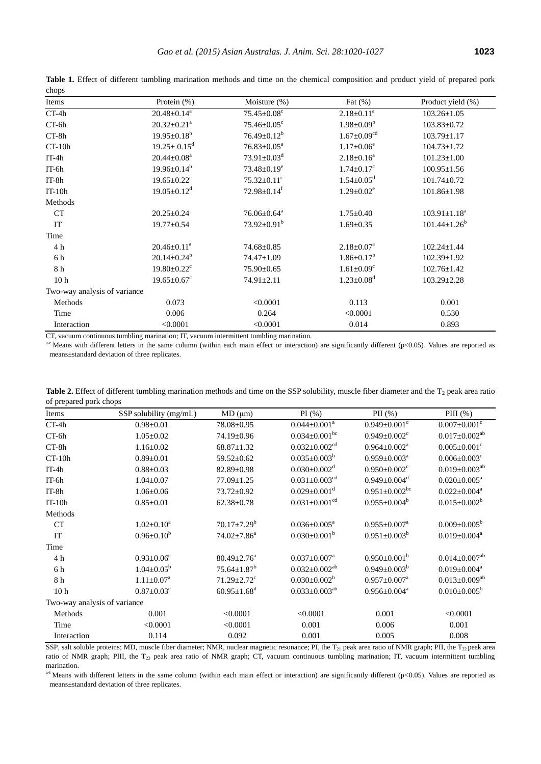| $\mathsf{u}_\mathsf{u}$<br>Items | Protein (%)                   | Moisture (%)                  | Fat $(\%)$                    | Product yield (%)   |
|----------------------------------|-------------------------------|-------------------------------|-------------------------------|---------------------|
| $CT-4h$                          | $20.48 \pm 0.14^a$            | $75.45 \pm 0.08$ <sup>c</sup> | $2.18 \pm 0.11^a$             | $103.26 \pm 1.05$   |
|                                  |                               |                               |                               |                     |
| CT-6h                            | $20.32 \pm 0.21$ <sup>a</sup> | $75.46 \pm 0.05$ <sup>c</sup> | $1.98 \pm 0.09^b$             | $103.83 \pm 0.72$   |
| $CT-8h$                          | $19.95 \pm 0.18^b$            | $76.49 \pm 0.12^b$            | $1.67 \pm 0.09$ <sup>cd</sup> | $103.79 \pm 1.17$   |
| $CT-10h$                         | $19.25 \pm 0.15^d$            | $76.83 \pm 0.05^a$            | $1.17 \pm 0.06^e$             | $104.73 \pm 1.72$   |
| $IT-4h$                          | $20.44 \pm 0.08^a$            | $73.91 \pm 0.03$ <sup>d</sup> | $2.18 \pm 0.16^a$             | $101.23 \pm 1.00$   |
| $IT-6h$                          | $19.96 \pm 0.14^b$            | $73.48 \pm 0.19^e$            | $1.74 \pm 0.17$ <sup>c</sup>  | $100.95 \pm 1.56$   |
| IT-8h                            | $19.65 \pm 0.22$ <sup>c</sup> | $75.32 \pm 0.11$ <sup>c</sup> | $1.54 \pm 0.05$ <sup>d</sup>  | $101.74 \pm 0.72$   |
| $IT-10h$                         | $19.05 \pm 0.12$ <sup>d</sup> | $72.98 \pm 0.14$ <sup>f</sup> | $1.29 \pm 0.02^e$             | $101.86 \pm 1.98$   |
| Methods                          |                               |                               |                               |                     |
| CT                               | $20.25 \pm 0.24$              | $76.06 \pm 0.64$ <sup>a</sup> | $1.75 \pm 0.40$               | $103.91 \pm 1.18^a$ |
| IT                               | $19.77 \pm 0.54$              | $73.92 \pm 0.91^{\rm b}$      | $1.69 \pm 0.35$               | $101.44 \pm 1.26^b$ |
| Time                             |                               |                               |                               |                     |
| 4 h                              | $20.46 \pm 0.11^{\text{a}}$   | $74.68 \pm 0.85$              | $2.18 \pm 0.07^a$             | $102.24 \pm 1.44$   |
| 6 h                              | $20.14 \pm 0.24^b$            | 74.47±1.09                    | $1.86 \pm 0.17^b$             | $102.39 \pm 1.92$   |
| 8 h                              | $19.80 \pm 0.22$ <sup>c</sup> | $75.90 \pm 0.65$              | $1.61 \pm 0.09$ <sup>c</sup>  | $102.76 \pm 1.42$   |
| 10 <sub>h</sub>                  | $19.65 \pm 0.67$ <sup>c</sup> | 74.91±2.11                    | $1.23 \pm 0.08$ <sup>d</sup>  | $103.29 \pm 2.28$   |
| Two-way analysis of variance     |                               |                               |                               |                     |
| Methods                          | 0.073                         | < 0.0001                      | 0.113                         | 0.001               |
| Time                             | 0.006                         | 0.264                         | < 0.0001                      | 0.530               |
| Interaction                      | < 0.0001                      | < 0.0001                      | 0.014                         | 0.893               |

Table 1. Effect of different tumbling marination methods and time on the chemical composition and product yield of prepared pork chops

CT, vacuum continuous tumbling marination; IT, vacuum intermittent tumbling marination.

a-e Means with different letters in the same column (within each main effect or interaction) are significantly different (p<0.05). Values are reported as means±standard deviation of three replicates.

| Items                        | SSP solubility (mg/mL)       | MD (µm)                       | PI(%)                           | PII $(\%)$                      | PIII $(\%)$                     |  |  |
|------------------------------|------------------------------|-------------------------------|---------------------------------|---------------------------------|---------------------------------|--|--|
| $CT-4h$                      | $0.98 \pm 0.01$              | $78.08 \pm 0.95$              | $0.044 \pm 0.001^a$             | $0.949 \pm 0.001$ <sup>c</sup>  | $0.007 \pm 0.001$ <sup>c</sup>  |  |  |
| CT-6h                        | $1.05 \pm 0.02$              | $74.19 \pm 0.96$              | $0.034 \pm 0.001$ <sup>bc</sup> | $0.949 \pm 0.002$ <sup>c</sup>  | $0.017 \pm 0.002^{ab}$          |  |  |
| CT-8h                        | $1.16 \pm 0.02$              | $68.87 \pm 1.32$              | $0.032 \pm 0.002$ <sup>cd</sup> | $0.964 \pm 0.002^a$             | $0.005 \pm 0.001$ <sup>c</sup>  |  |  |
| $CT-10h$                     | $0.89 \pm 0.01$              | $59.52 \pm 0.62$              | $0.035 \pm 0.003^b$             | $0.959 \pm 0.003^a$             | $0.006 \pm 0.003$ <sup>c</sup>  |  |  |
| $IT-4h$                      | $0.88 \pm 0.03$              | $82.89 \pm 0.98$              | $0.030 \pm 0.002$ <sup>d</sup>  | $0.950 \pm 0.002$ <sup>c</sup>  | $0.019 \pm 0.003^{ab}$          |  |  |
| $IT-6h$                      | $1.04 \pm 0.07$              | $77.09 \pm 1.25$              | $0.031 \pm 0.003$ <sup>cd</sup> | $0.949 \pm 0.004$ <sup>d</sup>  | $0.020 \pm 0.005^{\text{a}}$    |  |  |
| $IT-8h$                      | $1.06 \pm 0.06$              | 73.72±0.92                    | $0.029 \pm 0.001$ <sup>d</sup>  | $0.951 \pm 0.002$ <sup>bc</sup> | $0.022 \pm 0.004$ <sup>a</sup>  |  |  |
| $IT-10h$                     | $0.85 \pm 0.01$              | $62.38 \pm 0.78$              | $0.031 \pm 0.001$ <sup>cd</sup> | $0.955 \pm 0.004^b$             | $0.015 \pm 0.002^b$             |  |  |
| Methods                      |                              |                               |                                 |                                 |                                 |  |  |
| CT                           | $1.02 \pm 0.10^a$            | $70.17 \pm 7.29^b$            | $0.036 \pm 0.005^a$             | $0.955 \pm 0.007^a$             | $0.009 \pm 0.005^b$             |  |  |
| IT                           | $0.96 \pm 0.10^b$            | $74.02 \pm 7.86^a$            | $0.030 \pm 0.001^b$             | $0.951 \pm 0.003^b$             | $0.019 \pm 0.004^a$             |  |  |
| Time                         |                              |                               |                                 |                                 |                                 |  |  |
| 4 h                          | $0.93 \pm 0.06^c$            | $80.49 \pm 2.76^{\circ}$      | $0.037 \pm 0.007^a$             | $0.950 \pm 0.001^b$             | $0.014 \pm 0.007$ <sup>ab</sup> |  |  |
| 6 h                          | $1.04 \pm 0.05^b$            | $75.64 \pm 1.87^b$            | $0.032 \pm 0.002^{ab}$          | $0.949 \pm 0.003^b$             | $0.019 \pm 0.004^a$             |  |  |
| 8 h                          | $1.11 \pm 0.07^a$            | $71.29 \pm 2.72$ <sup>c</sup> | $0.030 \pm 0.002^b$             | $0.957 \pm 0.007^a$             | $0.013 \pm 0.009^{ab}$          |  |  |
| 10 <sub>h</sub>              | $0.87 \pm 0.03$ <sup>c</sup> | $60.95 \pm 1.68$ <sup>d</sup> | $0.033 \pm 0.003^{ab}$          | $0.956 \pm 0.004^a$             | $0.010\pm0.005^b$               |  |  |
| Two-way analysis of variance |                              |                               |                                 |                                 |                                 |  |  |
| Methods                      | 0.001                        | < 0.0001                      | < 0.0001                        | 0.001                           | < 0.0001                        |  |  |
| Time                         | < 0.0001                     | < 0.0001                      | 0.001                           | 0.006                           | 0.001                           |  |  |
| Interaction                  | 0.114                        | 0.092                         | 0.001                           | 0.005                           | 0.008                           |  |  |

**Table 2.** Effect of different tumbling marination methods and time on the SSP solubility, muscle fiber diameter and the  $T_2$  peak area ratio of prepared pork chops

SSP, salt soluble proteins; MD, muscle fiber diameter; NMR, nuclear magnetic resonance; PI, the T<sub>21</sub> peak area ratio of NMR graph; PII, the T<sub>22</sub> peak area ratio of NMR graph; PIII, the T<sub>23</sub> peak area ratio of NMR graph; CT, vacuum continuous tumbling marination; IT, vacuum intermittent tumbling marination.

 $a$ -f Means with different letters in the same column (within each main effect or interaction) are significantly different (p<0.05). Values are reported as means±standard deviation of three replicates.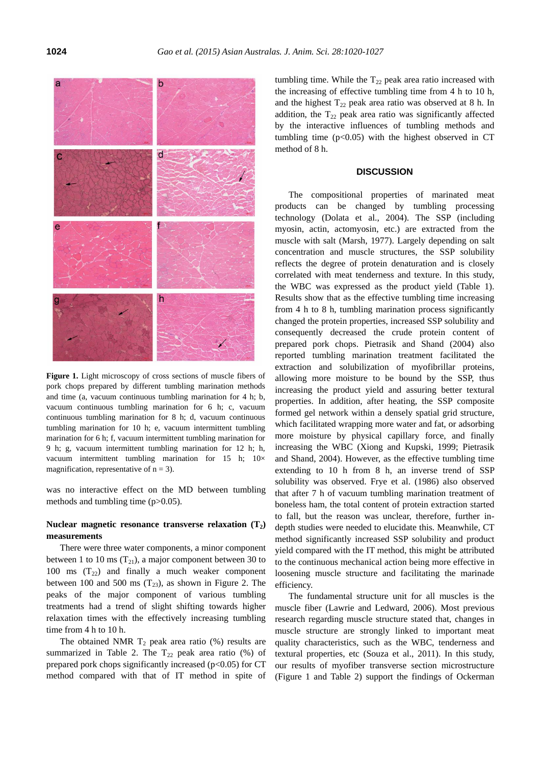

**Figure 1.** Light microscopy of cross sections of muscle fibers of pork chops prepared by different tumbling marination methods and time (a, vacuum continuous tumbling marination for 4 h; b, vacuum continuous tumbling marination for 6 h; c, vacuum continuous tumbling marination for 8 h; d, vacuum continuous tumbling marination for 10 h; e, vacuum intermittent tumbling marination for 6 h; f, vacuum intermittent tumbling marination for 9 h; g, vacuum intermittent tumbling marination for 12 h; h, vacuum intermittent tumbling marination for 15 h;  $10\times$ magnification, representative of  $n = 3$ ).

was no interactive effect on the MD between tumbling methods and tumbling time (p>0.05).

# Nuclear magnetic resonance transverse relaxation  $(T_2)$ **measurements**

There were three water components, a minor component between 1 to 10 ms  $(T_{21})$ , a major component between 30 to 100 ms  $(T_{22})$  and finally a much weaker component between 100 and 500 ms  $(T_{23})$ , as shown in Figure 2. The peaks of the major component of various tumbling treatments had a trend of slight shifting towards higher relaxation times with the effectively increasing tumbling time from 4 h to 10 h.

The obtained NMR  $T_2$  peak area ratio (%) results are summarized in Table 2. The  $T_{22}$  peak area ratio (%) of prepared pork chops significantly increased  $(p<0.05)$  for CT method compared with that of IT method in spite of tumbling time. While the  $T_{22}$  peak area ratio increased with the increasing of effective tumbling time from 4 h to 10 h, and the highest  $T_{22}$  peak area ratio was observed at 8 h. In addition, the  $T_{22}$  peak area ratio was significantly affected by the interactive influences of tumbling methods and tumbling time  $(p<0.05)$  with the highest observed in CT method of 8 h.

#### **DISCUSSION**

The compositional properties of marinated meat products can be changed by tumbling processing technology (Dolata et al., 2004). The SSP (including myosin, actin, actomyosin, etc.) are extracted from the muscle with salt (Marsh, 1977). Largely depending on salt concentration and muscle structures, the SSP solubility reflects the degree of protein denaturation and is closely correlated with meat tenderness and texture. In this study, the WBC was expressed as the product yield (Table 1). Results show that as the effective tumbling time increasing from 4 h to 8 h, tumbling marination process significantly changed the protein properties, increased SSP solubility and consequently decreased the crude protein content of prepared pork chops. Pietrasik and Shand (2004) also reported tumbling marination treatment facilitated the extraction and solubilization of myofibrillar proteins, allowing more moisture to be bound by the SSP, thus increasing the product yield and assuring better textural properties. In addition, after heating, the SSP composite formed gel network within a densely spatial grid structure, which facilitated wrapping more water and fat, or adsorbing more moisture by physical capillary force, and finally increasing the WBC (Xiong and Kupski, 1999; Pietrasik and Shand, 2004). However, as the effective tumbling time extending to 10 h from 8 h, an inverse trend of SSP solubility was observed. Frye et al. (1986) also observed that after 7 h of vacuum tumbling marination treatment of boneless ham, the total content of protein extraction started to fall, but the reason was unclear, therefore, further indepth studies were needed to elucidate this. Meanwhile, CT method significantly increased SSP solubility and product yield compared with the IT method, this might be attributed to the continuous mechanical action being more effective in loosening muscle structure and facilitating the marinade efficiency.

The fundamental structure unit for all muscles is the muscle fiber (Lawrie and Ledward, 2006). Most previous research regarding muscle structure stated that, changes in muscle structure are strongly linked to important meat quality characteristics, such as the WBC, tenderness and textural properties, etc (Souza et al., 2011). In this study, our results of myofiber transverse section microstructure (Figure 1 and Table 2) support the findings of Ockerman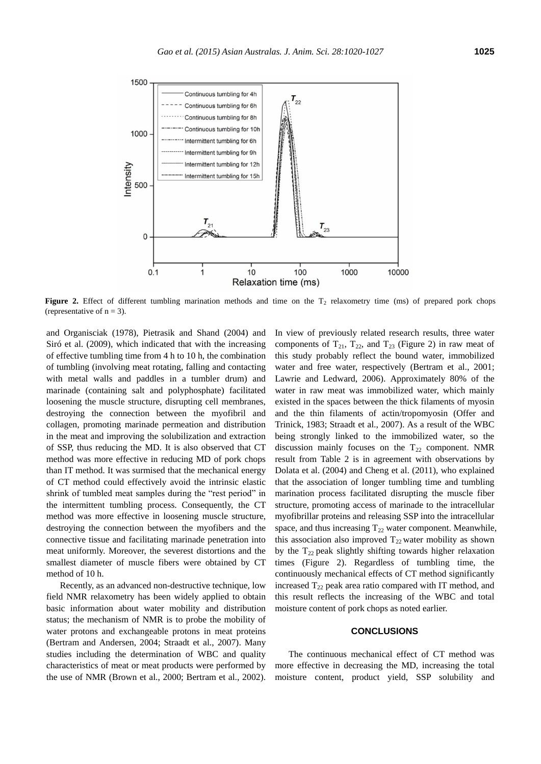

**Figure 2.** Effect of different tumbling marination methods and time on the  $T<sub>2</sub>$  relaxometry time (ms) of prepared pork chops (representative of  $n = 3$ ).

and Organisciak (1978), Pietrasik and Shand (2004) and Siró et al. (2009), which indicated that with the increasing of effective tumbling time from 4 h to 10 h, the combination of tumbling (involving meat rotating, falling and contacting with metal walls and paddles in a tumbler drum) and marinade (containing salt and polyphosphate) facilitated loosening the muscle structure, disrupting cell membranes, destroying the connection between the myofibril and collagen, promoting marinade permeation and distribution in the meat and improving the solubilization and extraction of SSP, thus reducing the MD. It is also observed that CT method was more effective in reducing MD of pork chops than IT method. It was surmised that the mechanical energy of CT method could effectively avoid the intrinsic elastic shrink of tumbled meat samples during the "rest period" in the intermittent tumbling process. Consequently, the CT method was more effective in loosening muscle structure, destroying the connection between the myofibers and the connective tissue and facilitating marinade penetration into meat uniformly. Moreover, the severest distortions and the smallest diameter of muscle fibers were obtained by CT method of 10 h.

Recently, as an advanced non-destructive technique, low field NMR relaxometry has been widely applied to obtain basic information about water mobility and distribution status; the mechanism of NMR is to probe the mobility of water protons and exchangeable protons in meat proteins (Bertram and Andersen, 2004; Straadt et al., 2007). Many studies including the determination of WBC and quality characteristics of meat or meat products were performed by the use of NMR (Brown et al., 2000; Bertram et al., 2002).

In view of previously related research results, three water components of  $T_{21}$ ,  $T_{22}$ , and  $T_{23}$  (Figure 2) in raw meat of this study probably reflect the bound water, immobilized water and free water, respectively (Bertram et al., 2001; Lawrie and Ledward, 2006). Approximately 80% of the water in raw meat was immobilized water, which mainly existed in the spaces between the thick filaments of myosin and the thin filaments of actin/tropomyosin (Offer and Trinick, 1983; Straadt et al., 2007). As a result of the WBC being strongly linked to the immobilized water, so the discussion mainly focuses on the  $T_{22}$  component. NMR result from Table 2 is in agreement with observations by Dolata et al. (2004) and Cheng et al. (2011), who explained that the association of longer tumbling time and tumbling marination process facilitated disrupting the muscle fiber structure, promoting access of marinade to the intracellular myofibrillar proteins and releasing SSP into the intracellular space, and thus increasing  $T_{22}$  water component. Meanwhile, this association also improved  $T_{22}$  water mobility as shown by the  $T_{22}$  peak slightly shifting towards higher relaxation times (Figure 2). Regardless of tumbling time, the continuously mechanical effects of CT method significantly increased  $T_{22}$  peak area ratio compared with IT method, and this result reflects the increasing of the WBC and total moisture content of pork chops as noted earlier.

### **CONCLUSIONS**

The continuous mechanical effect of CT method was more effective in decreasing the MD, increasing the total moisture content, product yield, SSP solubility and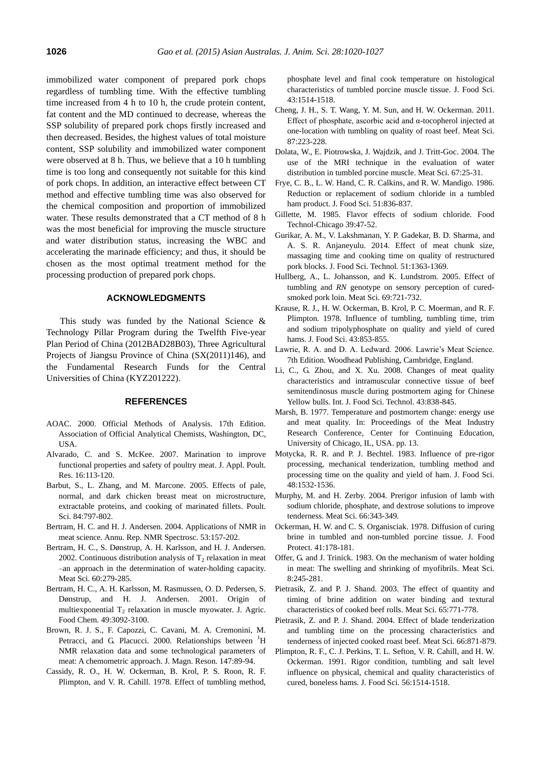immobilized water component of prepared pork chops regardless of tumbling time. With the effective tumbling time increased from 4 h to 10 h, the crude protein content, fat content and the MD continued to decrease, whereas the SSP solubility of prepared pork chops firstly increased and then decreased. Besides, the highest values of total moisture content, SSP solubility and immobilized water component were observed at 8 h. Thus, we believe that a 10 h tumbling time is too long and consequently not suitable for this kind of pork chops. In addition, an interactive effect between CT method and effective tumbling time was also observed for the chemical composition and proportion of immobilized water. These results demonstrated that a CT method of 8 h was the most beneficial for improving the muscle structure and water distribution status, increasing the WBC and accelerating the marinade efficiency; and thus, it should be chosen as the most optimal treatment method for the processing production of prepared pork chops.

## **ACKNOWLEDGMENTS**

This study was funded by the National Science & Technology Pillar Program during the Twelfth Five-year Plan Period of China (2012BAD28B03), Three Agricultural Projects of Jiangsu Province of China (SX(2011)146), and the Fundamental Research Funds for the Central Universities of China (KYZ201222).

#### **REFERENCES**

- AOAC. 2000. Official Methods of Analysis. 17th Edition. Association of Official Analytical Chemists, Washington, DC, USA.
- Alvarado, C. and S. McKee. 2007. [Marination to improve](http://japr.oxfordjournals.org/content/16/1/113.short)  [functional properties and safety of poultry meat.](http://japr.oxfordjournals.org/content/16/1/113.short) J. Appl. Poult. Res. 16:113-120.
- Barbut, S., L. Zhang, and M. Marcone. 2005. [Effects of pale,](http://ps.oxfordjournals.org/content/84/5/797.short)  [normal, and dark chicken breast meat on microstructure,](http://ps.oxfordjournals.org/content/84/5/797.short)  [extractable proteins, and cooking of marinated fillets.](http://ps.oxfordjournals.org/content/84/5/797.short) Poult. Sci. 84:797-802.
- Bertram, H. C. and H. J. Andersen. 2004. [Applications of NMR in](http://www.sciencedirect.com/science/article/pii/S006641030453003X)  [meat science.](http://www.sciencedirect.com/science/article/pii/S006641030453003X) Annu. Rep. NMR Spectrosc. 53:157-202.
- Bertram, H. C., S. Dønstrup, A. H. Karlsson, and H. J. Andersen. 2002. Continuous distribution analysis of  $T<sub>2</sub>$  relaxation in meat [–an approach in the determination of water-holding capacity.](http://www.sciencedirect.com/science/article/pii/S0309174001001346)  Meat Sci. 60:279-285.
- Bertram, H. C., A. H. Karlsson, M. Rasmussen, O. D. Pedersen, S. Dønstrup, and H. J. Andersen. 2001. [Origin of](http://pubs.acs.org/doi/abs/10.1021/jf001402t)  multiexponential  $T_2$  [relaxation in muscle myowater.](http://pubs.acs.org/doi/abs/10.1021/jf001402t) J. Agric. Food Chem. 49:3092-3100.
- Brown, R. J. S., F. Capozzi, C. Cavani, M. A. Cremonini, M. Petracci, and G. Placucci. 2000. [Relationships between](http://www.sciencedirect.com/science/article/pii/S1090780700921633) <sup>1</sup>H [NMR relaxation data and some technological parameters of](http://www.sciencedirect.com/science/article/pii/S1090780700921633)  [meat: A chemometric approach.](http://www.sciencedirect.com/science/article/pii/S1090780700921633) J. Magn. Reson. 147:89-94.
- Cassidy, R. O., H. W. Ockerman, B. Krol, P. S. Roon, R. F. Plimpton, and V. R. Cahill. 1978. [Effect of tumbling method,](http://onlinelibrary.wiley.com/doi/10.1111/j.1365-2621.1978.tb02532.x/abstract)

[phosphate level and final cook temperature on histological](http://onlinelibrary.wiley.com/doi/10.1111/j.1365-2621.1978.tb02532.x/abstract)  [characteristics of tumbled porcine muscle tissue.](http://onlinelibrary.wiley.com/doi/10.1111/j.1365-2621.1978.tb02532.x/abstract) J. Food Sci. 43:1514-1518.

- Cheng, J. H., S. T. Wang, Y. M. Sun, and H. W. Ockerman. 2011. [Effect of phosphate, ascorbic acid and α-tocopherol injected at](http://www.sciencedirect.com/science/article/pii/S0309174010003712)  [one-location with tumbling on quality of roast beef.](http://www.sciencedirect.com/science/article/pii/S0309174010003712) Meat Sci. 87:223-228.
- Dolata, W., E. Piotrowska, J. Wajdzik, and J. Tritt-Goc. 2004. [The](http://www.sciencedirect.com/science/article/pii/S0309174003002407)  [use of the MRI technique in the evaluation of water](http://www.sciencedirect.com/science/article/pii/S0309174003002407)  [distribution in tumbled porcine muscle.](http://www.sciencedirect.com/science/article/pii/S0309174003002407) Meat Sci. 67:25-31.
- Frye, C. B., L. W. Hand, C. R. Calkins, and R. W. Mandigo. 1986. [Reduction or replacement of sodium chloride in a tumbled](http://onlinelibrary.wiley.com/doi/10.1111/j.1365-2621.1986.tb13945.x/abstract)  [ham product.](http://onlinelibrary.wiley.com/doi/10.1111/j.1365-2621.1986.tb13945.x/abstract) J. Food Sci. 51:836-837.
- Gillette, M. 1985. Flavor effects of sodium chloride. Food Technol-Chicago 39:47-52.
- Gurikar, A. M., V. Lakshmanan, Y. P. Gadekar, B. D. Sharma, and A. S. R. Anjaneyulu. 2014. [Effect of meat chunk size,](http://link.springer.com/article/10.1007/s13197-012-0644-9)  [massaging time and cooking time on quality of restructured](http://link.springer.com/article/10.1007/s13197-012-0644-9)  [pork blocks.](http://link.springer.com/article/10.1007/s13197-012-0644-9) J. Food Sci. Technol. 51:1363-1369.
- Hullberg, A., L. Johansson, and K. Lundstrom. 2005. [Effect of](http://www.sciencedirect.com/science/article/pii/S030917400400275X)  tumbling and *RN* [genotype on sensory perception of cured](http://www.sciencedirect.com/science/article/pii/S030917400400275X)[smoked pork loin.](http://www.sciencedirect.com/science/article/pii/S030917400400275X) Meat Sci. 69:721-732.
- Krause, R. J., H. W. Ockerman, B. Krol, P. C. Moerman, and R. F. Plimpton. 1978. [Influence of tumbling, tumbling time, trim](http://onlinelibrary.wiley.com/doi/10.1111/j.1365-2621.1978.tb02438.x/abstract)  [and sodium tripolyphosphate on quality and yield of cured](http://onlinelibrary.wiley.com/doi/10.1111/j.1365-2621.1978.tb02438.x/abstract)  [hams.](http://onlinelibrary.wiley.com/doi/10.1111/j.1365-2621.1978.tb02438.x/abstract) J. Food Sci. 43:853-855.
- Lawrie, R. A. and D. A. Ledward. 2006. Lawrie's Meat Science. 7th Edition. Woodhead Publishing, Cambridge, England.
- Li, C., G. Zhou, and X. Xu. 2008. [Changes of meat quality](http://onlinelibrary.wiley.com/doi/10.1111/j.1365-2621.2007.01524.x/abstract?deniedAccessCustomisedMessage=&userIsAuthenticated=false)  [characteristics and intramuscular connective tissue of beef](http://onlinelibrary.wiley.com/doi/10.1111/j.1365-2621.2007.01524.x/abstract?deniedAccessCustomisedMessage=&userIsAuthenticated=false)  [semitendinosus muscle during postmortem aging for Chinese](http://onlinelibrary.wiley.com/doi/10.1111/j.1365-2621.2007.01524.x/abstract?deniedAccessCustomisedMessage=&userIsAuthenticated=false)  [Yellow bulls.](http://onlinelibrary.wiley.com/doi/10.1111/j.1365-2621.2007.01524.x/abstract?deniedAccessCustomisedMessage=&userIsAuthenticated=false) Int. J. Food Sci. Technol. 43:838-845.
- Marsh, B. 1977. Temperature and postmortem change: energy use and meat quality. In: Proceedings of the Meat Industry Research Conference, Center for Continuing Education, University of Chicago, IL, USA. pp. 13.
- Motycka, R. R. and P. J. Bechtel. 1983. [Influence of pre-rigor](http://onlinelibrary.wiley.com/doi/10.1111/j.1365-2621.1983.tb03531.x/abstract)  [processing, mechanical tenderization, tumbling method and](http://onlinelibrary.wiley.com/doi/10.1111/j.1365-2621.1983.tb03531.x/abstract)  [processing time on the quality and yield](http://onlinelibrary.wiley.com/doi/10.1111/j.1365-2621.1983.tb03531.x/abstract) of ham. J. Food Sci. 48:1532-1536.
- Murphy, M. and H. Zerby. 2004. [Prerigor infusion of lamb with](http://www.sciencedirect.com/science/article/pii/S0309174003001098)  [sodium chloride, phosphate, and dextrose solutions to improve](http://www.sciencedirect.com/science/article/pii/S0309174003001098)  [tenderness.](http://www.sciencedirect.com/science/article/pii/S0309174003001098) Meat Sci. 66:343-349.
- Ockerman, H. W. and C. S. Organisciak. 1978[. Diffusion of curing](http://www.ingentaconnect.com/content/iafp/jfp/1978/00000041/00000003/art00004?crawler=true)  [brine in tumbled and non-tumbled porcine tissue.](http://www.ingentaconnect.com/content/iafp/jfp/1978/00000041/00000003/art00004?crawler=true) J. Food Protect. 41:178-181.
- Offer, G. and J. Trinick. 1983. [On the mechanism of water holding](http://www.sciencedirect.com/science/article/pii/030917408390013X)  [in meat: The swelling and shrinking of myofibrils.](http://www.sciencedirect.com/science/article/pii/030917408390013X) Meat Sci. 8:245-281.
- Pietrasik, Z. and P. J. Shand. 2003. [The effect of quantity and](http://www.sciencedirect.com/science/article/pii/S0309174002002802)  [timing of brine addition on water binding and textural](http://www.sciencedirect.com/science/article/pii/S0309174002002802)  [characteristics of cooked beef rolls.](http://www.sciencedirect.com/science/article/pii/S0309174002002802) Meat Sci. 65:771-778.
- Pietrasik, Z. and P. J. Shand. 2004. [Effect of blade tenderization](http://www.sciencedirect.com/science/article/pii/S0309174003002304)  [and tumbling time on the processing characteristics and](http://www.sciencedirect.com/science/article/pii/S0309174003002304)  [tenderness of injected cooked roast beef.](http://www.sciencedirect.com/science/article/pii/S0309174003002304) Meat Sci. 66:871-879.
- Plimpton, R. F., C. J. Perkins, T. L. Sefton, V. R. Cahill, and H. W. Ockerman. 1991. [Rigor condition, tumbling and salt level](http://onlinelibrary.wiley.com/doi/10.1111/j.1365-2621.1991.tb08629.x/abstract)  [influence on physical, chemical and quality characteristics of](http://onlinelibrary.wiley.com/doi/10.1111/j.1365-2621.1991.tb08629.x/abstract)  [cured, boneless hams.](http://onlinelibrary.wiley.com/doi/10.1111/j.1365-2621.1991.tb08629.x/abstract) J. Food Sci. 56:1514-1518.